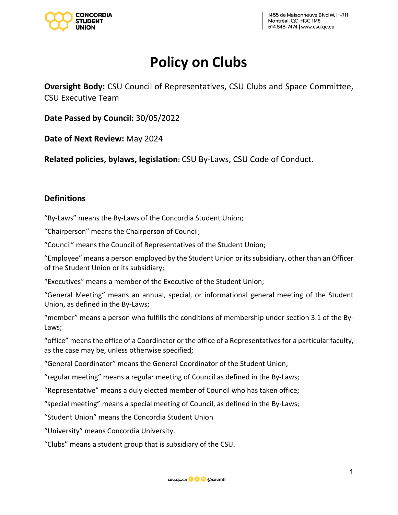

# **Policy on Clubs**

**Oversight Body:** CSU Council of Representatives, CSU Clubs and Space Committee, CSU Executive Team

**Date Passed by Council:** 30/05/2022

**Date of Next Review:** May 2024

**Related policies, bylaws, legislation:** CSU By-Laws, CSU Code of Conduct.

## **Definitions**

"By-Laws" means the By-Laws of the Concordia Student Union;

"Chairperson" means the Chairperson of Council;

"Council" means the Council of Representatives of the Student Union;

"Employee" means a person employed by the Student Union or its subsidiary, other than an Officer of the Student Union or its subsidiary;

"Executives" means a member of the Executive of the Student Union;

"General Meeting" means an annual, special, or informational general meeting of the Student Union, as defined in the By-Laws;

"member" means a person who fulfills the conditions of membership under section 3.1 of the By-Laws;

"office" means the office of a Coordinator or the office of a Representatives for a particular faculty, as the case may be, unless otherwise specified;

"General Coordinator" means the General Coordinator of the Student Union;

"regular meeting" means a regular meeting of Council as defined in the By-Laws;

"Representative" means a duly elected member of Council who has taken office;

"special meeting" means a special meeting of Council, as defined in the By-Laws;

"Student Union" means the Concordia Student Union

"University" means Concordia University.

"Clubs" means a student group that is subsidiary of the CSU.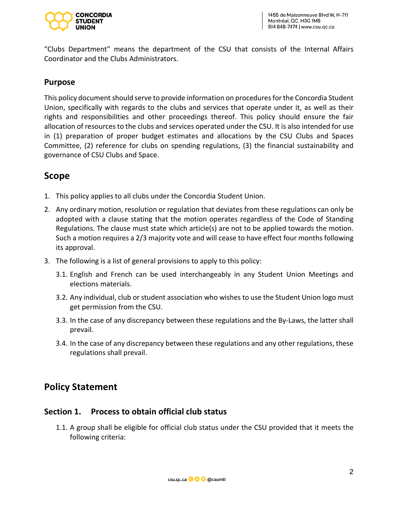

"Clubs Department" means the department of the CSU that consists of the Internal Affairs Coordinator and the Clubs Administrators.

## **Purpose**

This policy document should serve to provide information on procedures for the Concordia Student Union, specifically with regards to the clubs and services that operate under it, as well as their rights and responsibilities and other proceedings thereof. This policy should ensure the fair allocation of resources to the clubs and services operated under the CSU. It is also intended for use in (1) preparation of proper budget estimates and allocations by the CSU Clubs and Spaces Committee, (2) reference for clubs on spending regulations, (3) the financial sustainability and governance of CSU Clubs and Space.

## **Scope**

- 1. This policy applies to all clubs under the Concordia Student Union.
- 2. Any ordinary motion, resolution or regulation that deviates from these regulations can only be adopted with a clause stating that the motion operates regardless of the Code of Standing Regulations. The clause must state which article(s) are not to be applied towards the motion. Such a motion requires a 2/3 majority vote and will cease to have effect four months following its approval.
- 3. The following is a list of general provisions to apply to this policy:
	- 3.1. English and French can be used interchangeably in any Student Union Meetings and elections materials.
	- 3.2. Any individual, club or student association who wishes to use the Student Union logo must get permission from the CSU.
	- 3.3. In the case of any discrepancy between these regulations and the By-Laws, the latter shall prevail.
	- 3.4. In the case of any discrepancy between these regulations and any other regulations, these regulations shall prevail.

## **Policy Statement**

### **Section 1. Process to obtain official club status**

1.1. A group shall be eligible for official club status under the CSU provided that it meets the following criteria:

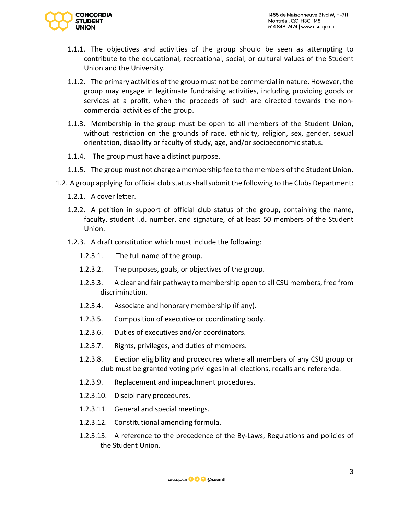

- 1.1.1. The objectives and activities of the group should be seen as attempting to contribute to the educational, recreational, social, or cultural values of the Student Union and the University.
- 1.1.2. The primary activities of the group must not be commercial in nature. However, the group may engage in legitimate fundraising activities, including providing goods or services at a profit, when the proceeds of such are directed towards the noncommercial activities of the group.
- 1.1.3. Membership in the group must be open to all members of the Student Union, without restriction on the grounds of race, ethnicity, religion, sex, gender, sexual orientation, disability or faculty of study, age, and/or socioeconomic status.
- 1.1.4. The group must have a distinct purpose.
- 1.1.5. The group must not charge a membership fee to the members of the Student Union.
- 1.2. A group applying for official club statusshall submit the following to the Clubs Department:
	- 1.2.1. A cover letter.
	- 1.2.2. A petition in support of official club status of the group, containing the name, faculty, student i.d. number, and signature, of at least 50 members of the Student Union.
	- 1.2.3. A draft constitution which must include the following:
		- 1.2.3.1. The full name of the group.
		- 1.2.3.2. The purposes, goals, or objectives of the group.
		- 1.2.3.3. A clear and fair pathway to membership open to all CSU members, free from discrimination.
		- 1.2.3.4. Associate and honorary membership (if any).
		- 1.2.3.5. Composition of executive or coordinating body.
		- 1.2.3.6. Duties of executives and/or coordinators.
		- 1.2.3.7. Rights, privileges, and duties of members.
		- 1.2.3.8. Election eligibility and procedures where all members of any CSU group or club must be granted voting privileges in all elections, recalls and referenda.
		- 1.2.3.9. Replacement and impeachment procedures.
		- 1.2.3.10. Disciplinary procedures.
		- 1.2.3.11. General and special meetings.
		- 1.2.3.12. Constitutional amending formula.
		- 1.2.3.13. A reference to the precedence of the By-Laws, Regulations and policies of the Student Union.

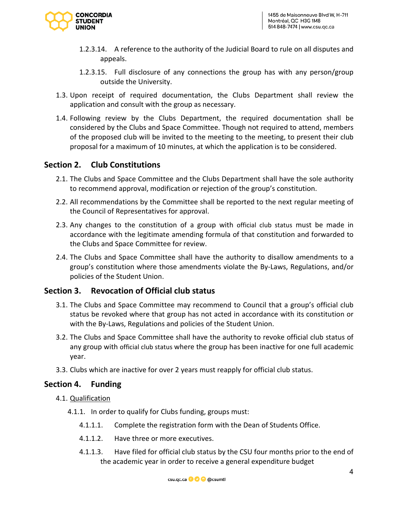

- 1.2.3.14. A reference to the authority of the Judicial Board to rule on all disputes and appeals.
- 1.2.3.15. Full disclosure of any connections the group has with any person/group outside the University.
- 1.3. Upon receipt of required documentation, the Clubs Department shall review the application and consult with the group as necessary.
- 1.4. Following review by the Clubs Department, the required documentation shall be considered by the Clubs and Space Committee. Though not required to attend, members of the proposed club will be invited to the meeting to the meeting, to present their club proposal for a maximum of 10 minutes, at which the application is to be considered.

## **Section 2. Club Constitutions**

- 2.1. The Clubs and Space Committee and the Clubs Department shall have the sole authority to recommend approval, modification or rejection of the group's constitution.
- 2.2. All recommendations by the Committee shall be reported to the next regular meeting of the Council of Representatives for approval.
- 2.3. Any changes to the constitution of a group with official club status must be made in accordance with the legitimate amending formula of that constitution and forwarded to the Clubs and Space Committee for review.
- 2.4. The Clubs and Space Committee shall have the authority to disallow amendments to a group's constitution where those amendments violate the By-Laws, Regulations, and/or policies of the Student Union.

#### **Section 3. Revocation of Official club status**

- 3.1. The Clubs and Space Committee may recommend to Council that a group's official club status be revoked where that group has not acted in accordance with its constitution or with the By-Laws, Regulations and policies of the Student Union.
- 3.2. The Clubs and Space Committee shall have the authority to revoke official club status of any group with official club status where the group has been inactive for one full academic year.
- 3.3. Clubs which are inactive for over 2 years must reapply for official club status.

#### **Section 4. Funding**

- 4.1. Qualification
	- 4.1.1. In order to qualify for Clubs funding, groups must:
		- 4.1.1.1. Complete the registration form with the Dean of Students Office.
		- 4.1.1.2. Have three or more executives.
		- 4.1.1.3. Have filed for official club status by the CSU four months prior to the end of the academic year in order to receive a general expenditure budget

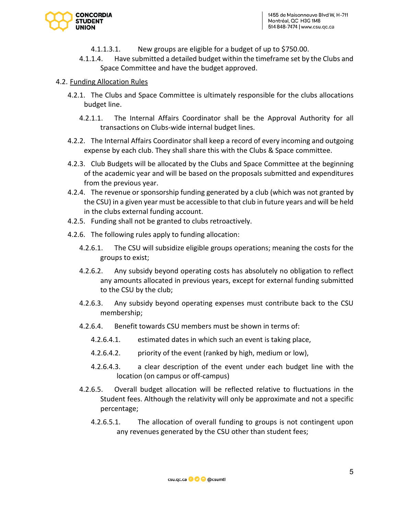

- 4.1.1.3.1. New groups are eligible for a budget of up to \$750.00.
- 4.1.1.4. Have submitted a detailed budget within the timeframe set by the Clubs and Space Committee and have the budget approved.

#### 4.2. Funding Allocation Rules

- 4.2.1. The Clubs and Space Committee is ultimately responsible for the clubs allocations budget line.
	- 4.2.1.1. The Internal Affairs Coordinator shall be the Approval Authority for all transactions on Clubs-wide internal budget lines.
- 4.2.2. The Internal Affairs Coordinator shall keep a record of every incoming and outgoing expense by each club. They shall share this with the Clubs & Space committee.
- 4.2.3. Club Budgets will be allocated by the Clubs and Space Committee at the beginning of the academic year and will be based on the proposals submitted and expenditures from the previous year.
- 4.2.4. The revenue or sponsorship funding generated by a club (which was not granted by the CSU) in a given year must be accessible to that club in future years and will be held in the clubs external funding account.
- 4.2.5. Funding shall not be granted to clubs retroactively.
- 4.2.6. The following rules apply to funding allocation:
	- 4.2.6.1. The CSU will subsidize eligible groups operations; meaning the costs for the groups to exist;
	- 4.2.6.2. Any subsidy beyond operating costs has absolutely no obligation to reflect any amounts allocated in previous years, except for external funding submitted to the CSU by the club;
	- 4.2.6.3. Any subsidy beyond operating expenses must contribute back to the CSU membership;
	- 4.2.6.4. Benefit towards CSU members must be shown in terms of:
		- 4.2.6.4.1. estimated dates in which such an event is taking place,
		- 4.2.6.4.2. priority of the event (ranked by high, medium or low),
		- 4.2.6.4.3. a clear description of the event under each budget line with the location (on campus or off-campus)
	- 4.2.6.5. Overall budget allocation will be reflected relative to fluctuations in the Student fees. Although the relativity will only be approximate and not a specific percentage;
		- 4.2.6.5.1. The allocation of overall funding to groups is not contingent upon any revenues generated by the CSU other than student fees;

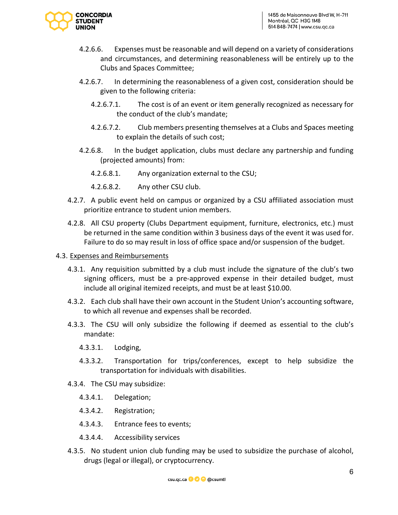

- 4.2.6.6. Expenses must be reasonable and will depend on a variety of considerations and circumstances, and determining reasonableness will be entirely up to the Clubs and Spaces Committee;
- 4.2.6.7. In determining the reasonableness of a given cost, consideration should be given to the following criteria:
	- 4.2.6.7.1. The cost is of an event or item generally recognized as necessary for the conduct of the club's mandate;
	- 4.2.6.7.2. Club members presenting themselves at a Clubs and Spaces meeting to explain the details of such cost;
- 4.2.6.8. In the budget application, clubs must declare any partnership and funding (projected amounts) from:
	- 4.2.6.8.1. Any organization external to the CSU;
	- 4.2.6.8.2. Any other CSU club.
- 4.2.7. A public event held on campus or organized by a CSU affiliated association must prioritize entrance to student union members.
- 4.2.8. All CSU property (Clubs Department equipment, furniture, electronics, etc.) must be returned in the same condition within 3 business days of the event it was used for. Failure to do so may result in loss of office space and/or suspension of the budget.

#### 4.3. Expenses and Reimbursements

- 4.3.1. Any requisition submitted by a club must include the signature of the club's two signing officers, must be a pre-approved expense in their detailed budget, must include all original itemized receipts, and must be at least \$10.00.
- 4.3.2. Each club shall have their own account in the Student Union's accounting software, to which all revenue and expenses shall be recorded.
- 4.3.3. The CSU will only subsidize the following if deemed as essential to the club's mandate:
	- 4.3.3.1. Lodging,
	- 4.3.3.2. Transportation for trips/conferences, except to help subsidize the transportation for individuals with disabilities.
- 4.3.4. The CSU may subsidize:
	- 4.3.4.1. Delegation;
	- 4.3.4.2. Registration;
	- 4.3.4.3. Entrance fees to events;
	- 4.3.4.4. Accessibility services
- 4.3.5. No student union club funding may be used to subsidize the purchase of alcohol, drugs (legal or illegal), or cryptocurrency.

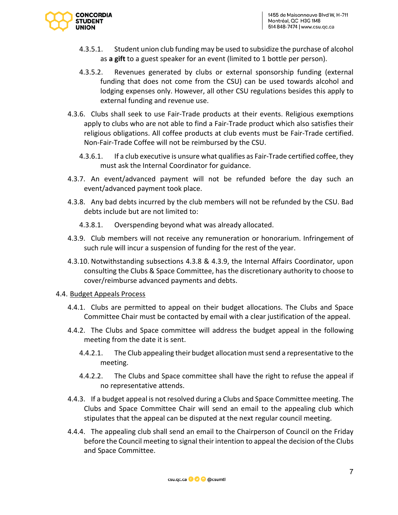

- 4.3.5.1. Student union club funding may be used to subsidize the purchase of alcohol as **a gift** to a guest speaker for an event (limited to 1 bottle per person).
- 4.3.5.2. Revenues generated by clubs or external sponsorship funding (external funding that does not come from the CSU) can be used towards alcohol and lodging expenses only. However, all other CSU regulations besides this apply to external funding and revenue use.
- 4.3.6. Clubs shall seek to use Fair-Trade products at their events. Religious exemptions apply to clubs who are not able to find a Fair-Trade product which also satisfies their religious obligations. All coffee products at club events must be Fair-Trade certified. Non-Fair-Trade Coffee will not be reimbursed by the CSU.
	- 4.3.6.1. If a club executive is unsure what qualifies as Fair-Trade certified coffee, they must ask the Internal Coordinator for guidance.
- 4.3.7. An event/advanced payment will not be refunded before the day such an event/advanced payment took place.
- 4.3.8. Any bad debts incurred by the club members will not be refunded by the CSU. Bad debts include but are not limited to:
	- 4.3.8.1. Overspending beyond what was already allocated.
- 4.3.9. Club members will not receive any remuneration or honorarium. Infringement of such rule will incur a suspension of funding for the rest of the year.
- 4.3.10. Notwithstanding subsections 4.3.8 & 4.3.9, the Internal Affairs Coordinator, upon consulting the Clubs & Space Committee, has the discretionary authority to choose to cover/reimburse advanced payments and debts.

#### 4.4. Budget Appeals Process

- 4.4.1. Clubs are permitted to appeal on their budget allocations. The Clubs and Space Committee Chair must be contacted by email with a clear justification of the appeal.
- 4.4.2. The Clubs and Space committee will address the budget appeal in the following meeting from the date it is sent.
	- 4.4.2.1. The Club appealing their budget allocation must send a representative to the meeting.
	- 4.4.2.2. The Clubs and Space committee shall have the right to refuse the appeal if no representative attends.
- 4.4.3. If a budget appeal is not resolved during a Clubs and Space Committee meeting. The Clubs and Space Committee Chair will send an email to the appealing club which stipulates that the appeal can be disputed at the next regular council meeting.
- 4.4.4. The appealing club shall send an email to the Chairperson of Council on the Friday before the Council meeting to signal their intention to appeal the decision of the Clubs and Space Committee.

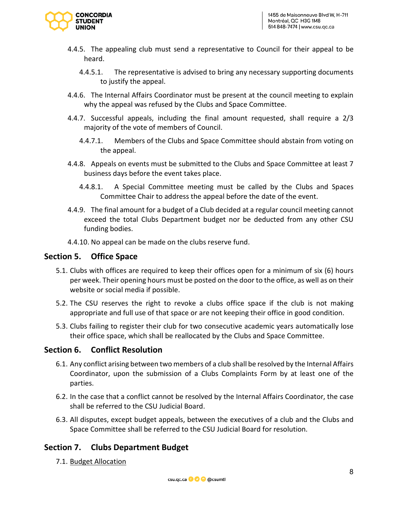

- 4.4.5. The appealing club must send a representative to Council for their appeal to be heard.
	- 4.4.5.1. The representative is advised to bring any necessary supporting documents to justify the appeal.
- 4.4.6. The Internal Affairs Coordinator must be present at the council meeting to explain why the appeal was refused by the Clubs and Space Committee.
- 4.4.7. Successful appeals, including the final amount requested, shall require a 2/3 majority of the vote of members of Council.
	- 4.4.7.1. Members of the Clubs and Space Committee should abstain from voting on the appeal.
- 4.4.8. Appeals on events must be submitted to the Clubs and Space Committee at least 7 business days before the event takes place.
	- 4.4.8.1. A Special Committee meeting must be called by the Clubs and Spaces Committee Chair to address the appeal before the date of the event.
- 4.4.9. The final amount for a budget of a Club decided at a regular council meeting cannot exceed the total Clubs Department budget nor be deducted from any other CSU funding bodies.
- 4.4.10. No appeal can be made on the clubs reserve fund.

## **Section 5. Office Space**

- 5.1. Clubs with offices are required to keep their offices open for a minimum of six (6) hours per week. Their opening hours must be posted on the door to the office, as well as on their website or social media if possible.
- 5.2. The CSU reserves the right to revoke a clubs office space if the club is not making appropriate and full use of that space or are not keeping their office in good condition.
- 5.3. Clubs failing to register their club for two consecutive academic years automatically lose their office space, which shall be reallocated by the Clubs and Space Committee.

#### **Section 6. Conflict Resolution**

- 6.1. Any conflict arising between two members of a club shall be resolved by the Internal Affairs Coordinator, upon the submission of a Clubs Complaints Form by at least one of the parties.
- 6.2. In the case that a conflict cannot be resolved by the Internal Affairs Coordinator, the case shall be referred to the CSU Judicial Board.
- 6.3. All disputes, except budget appeals, between the executives of a club and the Clubs and Space Committee shall be referred to the CSU Judicial Board for resolution.

## **Section 7. Clubs Department Budget**

7.1. Budget Allocation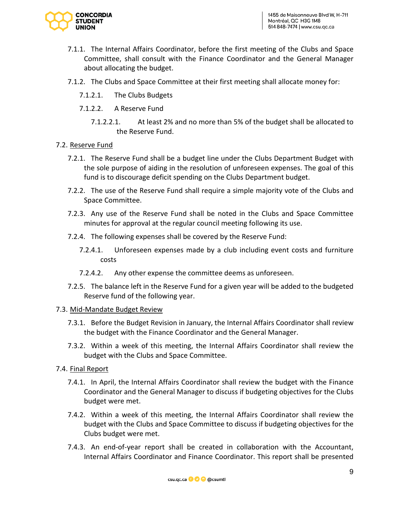

- 7.1.1. The Internal Affairs Coordinator, before the first meeting of the Clubs and Space Committee, shall consult with the Finance Coordinator and the General Manager about allocating the budget.
- 7.1.2. The Clubs and Space Committee at their first meeting shall allocate money for:
	- 7.1.2.1. The Clubs Budgets
	- 7.1.2.2. A Reserve Fund
		- 7.1.2.2.1. At least 2% and no more than 5% of the budget shall be allocated to the Reserve Fund.

#### 7.2. Reserve Fund

- 7.2.1. The Reserve Fund shall be a budget line under the Clubs Department Budget with the sole purpose of aiding in the resolution of unforeseen expenses. The goal of this fund is to discourage deficit spending on the Clubs Department budget.
- 7.2.2. The use of the Reserve Fund shall require a simple majority vote of the Clubs and Space Committee.
- 7.2.3. Any use of the Reserve Fund shall be noted in the Clubs and Space Committee minutes for approval at the regular council meeting following its use.
- 7.2.4. The following expenses shall be covered by the Reserve Fund:
	- 7.2.4.1. Unforeseen expenses made by a club including event costs and furniture costs
	- 7.2.4.2. Any other expense the committee deems as unforeseen.
- 7.2.5. The balance left in the Reserve Fund for a given year will be added to the budgeted Reserve fund of the following year.

#### 7.3. Mid-Mandate Budget Review

- 7.3.1. Before the Budget Revision in January, the Internal Affairs Coordinator shall review the budget with the Finance Coordinator and the General Manager.
- 7.3.2. Within a week of this meeting, the Internal Affairs Coordinator shall review the budget with the Clubs and Space Committee.

#### 7.4. Final Report

- 7.4.1. In April, the Internal Affairs Coordinator shall review the budget with the Finance Coordinator and the General Manager to discuss if budgeting objectives for the Clubs budget were met.
- 7.4.2. Within a week of this meeting, the Internal Affairs Coordinator shall review the budget with the Clubs and Space Committee to discuss if budgeting objectives for the Clubs budget were met.
- 7.4.3. An end-of-year report shall be created in collaboration with the Accountant, Internal Affairs Coordinator and Finance Coordinator. This report shall be presented

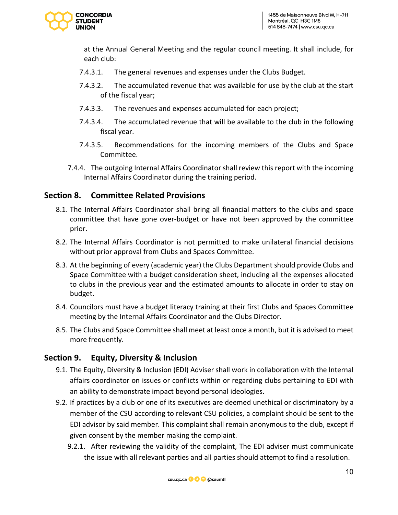

at the Annual General Meeting and the regular council meeting. It shall include, for each club:

- 7.4.3.1. The general revenues and expenses under the Clubs Budget.
- 7.4.3.2. The accumulated revenue that was available for use by the club at the start of the fiscal year;
- 7.4.3.3. The revenues and expenses accumulated for each project;
- 7.4.3.4. The accumulated revenue that will be available to the club in the following fiscal year.
- 7.4.3.5. Recommendations for the incoming members of the Clubs and Space Committee.
- 7.4.4. The outgoing Internal Affairs Coordinator shall review this report with the incoming Internal Affairs Coordinator during the training period.

## **Section 8. Committee Related Provisions**

- 8.1. The Internal Affairs Coordinator shall bring all financial matters to the clubs and space committee that have gone over-budget or have not been approved by the committee prior.
- 8.2. The Internal Affairs Coordinator is not permitted to make unilateral financial decisions without prior approval from Clubs and Spaces Committee.
- 8.3. At the beginning of every (academic year) the Clubs Department should provide Clubs and Space Committee with a budget consideration sheet, including all the expenses allocated to clubs in the previous year and the estimated amounts to allocate in order to stay on budget.
- 8.4. Councilors must have a budget literacy training at their first Clubs and Spaces Committee meeting by the Internal Affairs Coordinator and the Clubs Director.
- 8.5. The Clubs and Space Committee shall meet at least once a month, but it is advised to meet more frequently.

## **Section 9. Equity, Diversity & Inclusion**

- 9.1. The Equity, Diversity & Inclusion (EDI) Adviser shall work in collaboration with the Internal affairs coordinator on issues or conflicts within or regarding clubs pertaining to EDI with an ability to demonstrate impact beyond personal ideologies.
- 9.2. If practices by a club or one of its executives are deemed unethical or discriminatory by a member of the CSU according to relevant CSU policies, a complaint should be sent to the EDI advisor by said member. This complaint shall remain anonymous to the club, except if given consent by the member making the complaint.
	- 9.2.1. After reviewing the validity of the complaint, The EDI adviser must communicate the issue with all relevant parties and all parties should attempt to find a resolution.